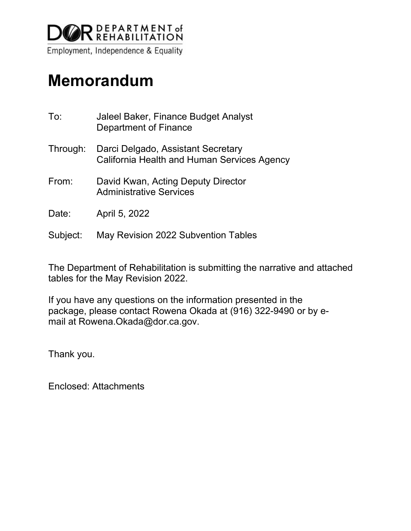

# **Memorandum**

| To:      | Jaleel Baker, Finance Budget Analyst<br><b>Department of Finance</b>              |
|----------|-----------------------------------------------------------------------------------|
| Through: | Darci Delgado, Assistant Secretary<br>California Health and Human Services Agency |
| From:    | David Kwan, Acting Deputy Director<br><b>Administrative Services</b>              |
| Date:    | April 5, 2022                                                                     |
| Subject: | May Revision 2022 Subvention Tables                                               |

The Department of Rehabilitation is submitting the narrative and attached tables for the May Revision 2022.

If you have any questions on the information presented in the package, please contact Rowena Okada at (916) 322-9490 or by email at Rowena.Okada@dor.ca.gov.

Thank you.

Enclosed: Attachments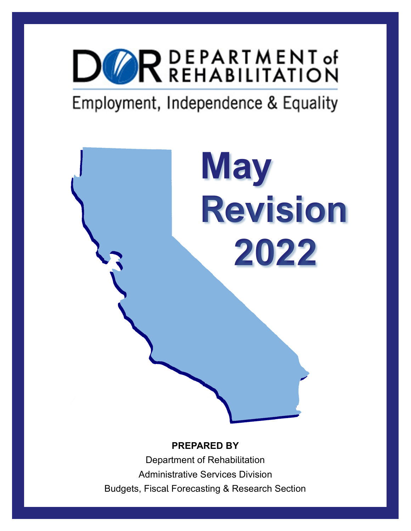

# Employment, Independence & Equality

**May Revision 2022**

#### **PREPARED BY**

Department of Rehabilitation Administrative Services Division Budgets, Fiscal Forecasting & Research Section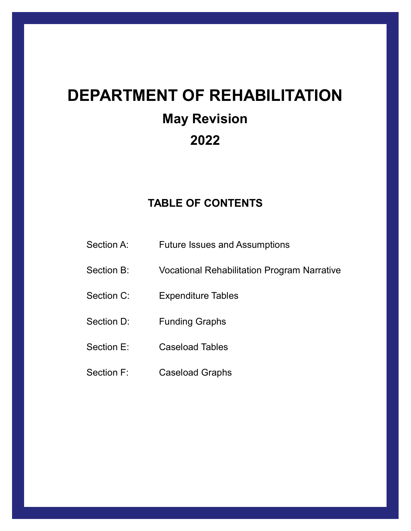# **DEPARTMENT OF REHABILITATION May Revision 2022**

### **TABLE OF CONTENTS**

- Section A: Future Issues and Assumptions
- Section B: Vocational Rehabilitation Program Narrative
- Section C: Expenditure Tables
- Section D: Funding Graphs
- Section E: Caseload Tables
- Section F: Caseload Graphs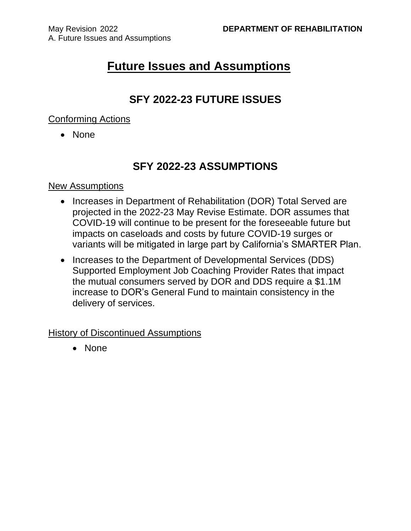## **Future Issues and Assumptions**

#### **SFY 2022-23 FUTURE ISSUES**

#### Conforming Actions

• None

#### **SFY 2022-23 ASSUMPTIONS**

#### New Assumptions

- Increases in Department of Rehabilitation (DOR) Total Served are projected in the 2022-23 May Revise Estimate. DOR assumes that COVID-19 will continue to be present for the foreseeable future but impacts on caseloads and costs by future COVID-19 surges or variants will be mitigated in large part by California's SMARTER Plan.
- Increases to the Department of Developmental Services (DDS) Supported Employment Job Coaching Provider Rates that impact the mutual consumers served by DOR and DDS require a \$1.1M increase to DOR's General Fund to maintain consistency in the delivery of services.

History of Discontinued Assumptions

• None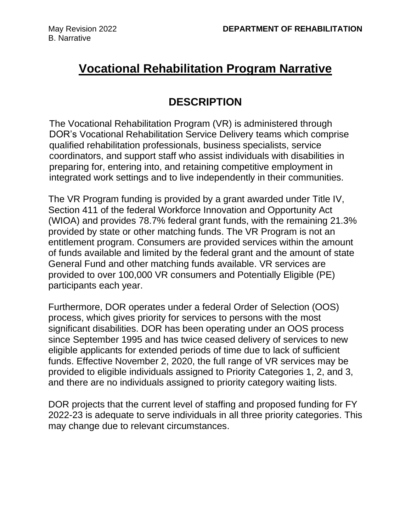## **Vocational Rehabilitation Program Narrative**

### **DESCRIPTION**

The Vocational Rehabilitation Program (VR) is administered through DOR's Vocational Rehabilitation Service Delivery teams which comprise qualified rehabilitation professionals, business specialists, service coordinators, and support staff who assist individuals with disabilities in preparing for, entering into, and retaining competitive employment in integrated work settings and to live independently in their communities.

The VR Program funding is provided by a grant awarded under Title IV, Section 411 of the federal Workforce Innovation and Opportunity Act (WIOA) and provides 78.7% federal grant funds, with the remaining 21.3% provided by state or other matching funds. The VR Program is not an entitlement program. Consumers are provided services within the amount of funds available and limited by the federal grant and the amount of state General Fund and other matching funds available. VR services are provided to over 100,000 VR consumers and Potentially Eligible (PE) participants each year.

Furthermore, DOR operates under a federal Order of Selection (OOS) process, which gives priority for services to persons with the most significant disabilities. DOR has been operating under an OOS process since September 1995 and has twice ceased delivery of services to new eligible applicants for extended periods of time due to lack of sufficient funds. Effective November 2, 2020, the full range of VR services may be provided to eligible individuals assigned to Priority Categories 1, 2, and 3, and there are no individuals assigned to priority category waiting lists.

DOR projects that the current level of staffing and proposed funding for FY 2022-23 is adequate to serve individuals in all three priority categories. This may change due to relevant circumstances.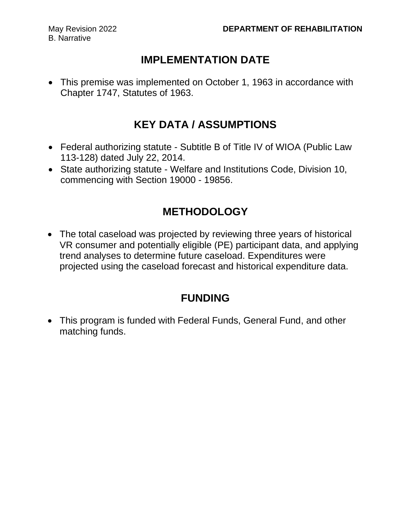#### **IMPLEMENTATION DATE**

• This premise was implemented on October 1, 1963 in accordance with Chapter 1747, Statutes of 1963.

### **KEY DATA / ASSUMPTIONS**

- Federal authorizing statute Subtitle B of Title IV of WIOA (Public Law 113-128) dated July 22, 2014.
- State authorizing statute Welfare and Institutions Code, Division 10, commencing with Section 19000 - 19856.

### **METHODOLOGY**

• The total caseload was projected by reviewing three years of historical VR consumer and potentially eligible (PE) participant data, and applying trend analyses to determine future caseload. Expenditures were projected using the caseload forecast and historical expenditure data.

### **FUNDING**

• This program is funded with Federal Funds, General Fund, and other matching funds.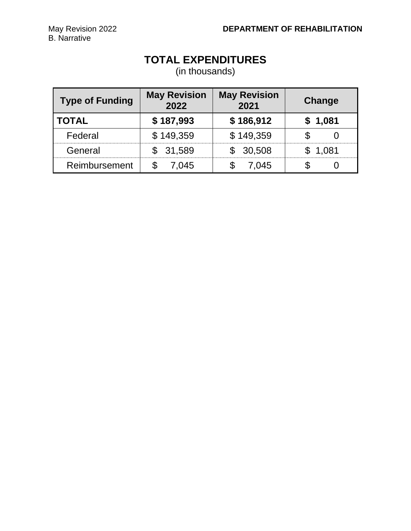### **TOTAL EXPENDITURES**

(in thousands)

| <b>Type of Funding</b> | <b>May Revision</b><br>2022 | <b>May Revision</b><br>2021 | Change  |
|------------------------|-----------------------------|-----------------------------|---------|
| <b>TOTAL</b>           | \$187,993                   | \$186,912                   | \$1,081 |
| Federal                | \$149,359                   | \$149,359                   |         |
| General                | \$31,589                    | 30,508                      | \$1,081 |
| Reimbursement          | 7.045                       | 7.045                       |         |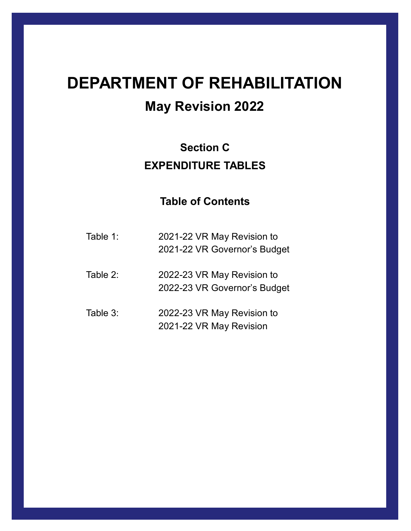# **DEPARTMENT OF REHABILITATION**

# **May Revision 2022**

## **Section C EXPENDITURE TABLES**

- Table 1: 2021-22 VR May Revision to 2021-22 VR Governor's Budget
- Table 2: 2022-23 VR May Revision to 2022-23 VR Governor's Budget
- Table 3: 2022-23 VR May Revision to 2021-22 VR May Revision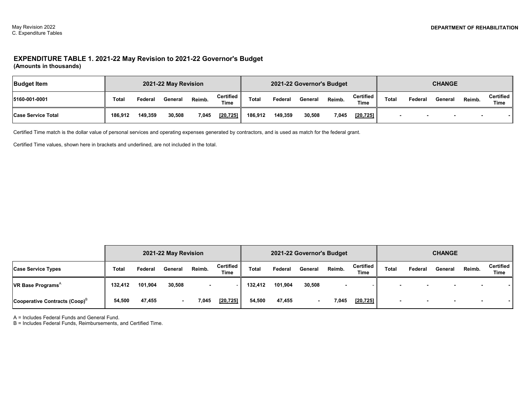#### **EXPENDITURE TABLE 1. 2021-22 May Revision to 2021-22 Governor's Budget (Amounts in thousands)**

| <b>Budget Item</b>        |         |         | 2021-22 May Revision |        |                         |         |         | 2021-22 Governor's Budget |        |                      |       |         | <b>CHANGE</b> |                          |                          |
|---------------------------|---------|---------|----------------------|--------|-------------------------|---------|---------|---------------------------|--------|----------------------|-------|---------|---------------|--------------------------|--------------------------|
| 15160-001-0001            | Total   | Federal | General              | Reimb. | Certified   <br>$T$ ime | Total   | Federal | General                   | Reimb. | Certified II<br>Time | Total | Federal | General       | Reimb.                   | Certified<br><b>Time</b> |
| <b>Case Service Total</b> | 186.912 | 149,359 | 30,508               | 7,045  | [20, 725]               | 186.912 | 149,359 | 30,508                    | 7.045  | [20, 725]            |       |         |               | $\overline{\phantom{a}}$ |                          |

Certified Time match is the dollar value of personal services and operating expenses generated by contractors, and is used as match for the federal grant.

Certified Time values, shown here in brackets and underlined, are not included in the total.

|                                                   |         |         | 2021-22 May Revision |                          |                          |              |         | 2021-22 Governor's Budget |        |                             |       |                          | <b>CHANGE</b>  |                          |                          |
|---------------------------------------------------|---------|---------|----------------------|--------------------------|--------------------------|--------------|---------|---------------------------|--------|-----------------------------|-------|--------------------------|----------------|--------------------------|--------------------------|
| <b>Case Service Types</b>                         | Total   | Federal | General              | Reimb.                   | <b>Certified</b><br>Time | <b>Total</b> | Federal | General                   | Reimb. | Certified   <br><b>Time</b> | Total | Federal                  | General        | Reimb.                   | Certified<br><b>Time</b> |
| <b>VR Base Programs</b> <sup><math>A</math></sup> | 132.412 | 101,904 | 30,508               | $\overline{\phantom{0}}$ |                          | 132.412      | 101,904 | 30,508                    |        |                             |       | $\overline{\phantom{a}}$ | $\blacksquare$ | $\overline{\phantom{0}}$ |                          |
| Cooperative Contracts (Coop) <sup>B</sup>         | 54,500  | 47,455  | $\blacksquare$       | 7,045                    | [20, 725]                | 54,500       | 47,455  |                           | 7,045  | [20, 725]                   |       |                          |                |                          |                          |

A = Includes Federal Funds and General Fund.

B = Includes Federal Funds, Reimbursements, and Certified Time.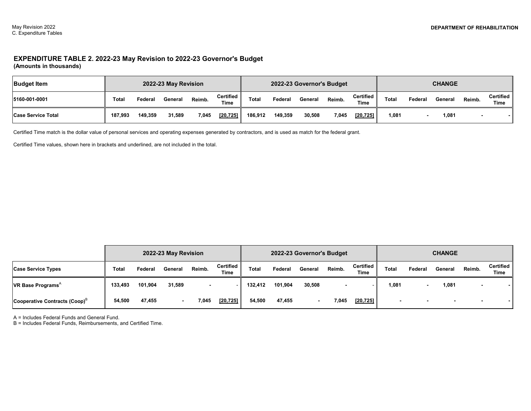#### **EXPENDITURE TABLE 2. 2022-23 May Revision to 2022-23 Governor's Budget (Amounts in thousands)**

| <b>Budget Item</b>        |         |         | 2022-23 May Revision |        |                            |         |         | 2022-23 Governor's Budget |        |                   |       |         | <b>CHANGE</b> |        |                   |
|---------------------------|---------|---------|----------------------|--------|----------------------------|---------|---------|---------------------------|--------|-------------------|-------|---------|---------------|--------|-------------------|
| 5160-001-0001             | Total   | Federal | General              | Reimb. | Certified  <br><b>Time</b> | Tota    | Federal | General                   | Reimb. | Certified<br>Time | Total | Federai | General       | Reimb. | Certified<br>Time |
| <b>Case Service Total</b> | 187,993 | 149,359 | 31,589               | 7,045  | [20, 725]                  | 186,912 | 149,359 | 30,508                    | 7.045  | [20, 725]         | 1,081 |         | 81,081        |        |                   |

Certified Time match is the dollar value of personal services and operating expenses generated by contractors, and is used as match for the federal grant.

Certified Time values, shown here in brackets and underlined, are not included in the total.

|                                           |              |         | 2022-23 May Revision |                          |                   |              |         | 2022-23 Governor's Budget |        |                          |       |         | <b>CHANGE</b> |                |                          |
|-------------------------------------------|--------------|---------|----------------------|--------------------------|-------------------|--------------|---------|---------------------------|--------|--------------------------|-------|---------|---------------|----------------|--------------------------|
| <b>Case Service Types</b>                 | <b>Total</b> | Federal | General              | Reimb.                   | Certified<br>Time | <b>Total</b> | Federal | General                   | Reimb. | Certified<br><b>Time</b> | Total | Federal | General       | Reimb.         | Certified<br><b>Time</b> |
| <b>VR Base Programs</b> $^{\wedge}$       | 133.493      | 101,904 | 31,589               | $\overline{\phantom{a}}$ |                   | 132.412      | 101,904 | 30,508                    |        |                          | 1,081 |         | 1,081         |                |                          |
| Cooperative Contracts (Coop) <sup>B</sup> | 54,500       | 47,455  | $\blacksquare$       | 7,045                    | [20, 725]         | 54,500       | 47,455  |                           | 7,045  | [20, 725]                | -     |         |               | $\blacksquare$ |                          |

A = Includes Federal Funds and General Fund.

B = Includes Federal Funds, Reimbursements, and Certified Time.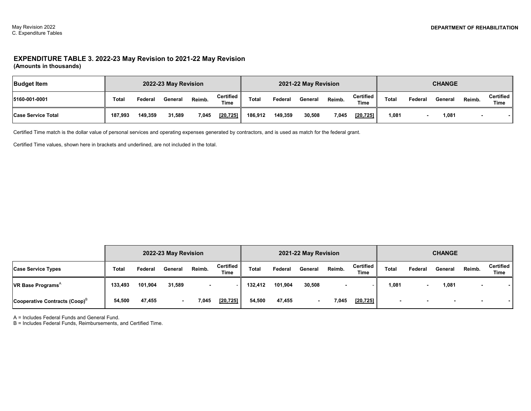#### **EXPENDITURE TABLE 3. 2022-23 May Revision to 2021-22 May Revision (Amounts in thousands)**

| <b>Budget Item</b>        |              |         | 2022-23 May Revision |        |                     |         |         | 2021-22 May Revision |        |                          |       |         | <b>CHANGE</b> |        |                          |
|---------------------------|--------------|---------|----------------------|--------|---------------------|---------|---------|----------------------|--------|--------------------------|-------|---------|---------------|--------|--------------------------|
| 5160-001-0001             | <b>Total</b> | Federal | General              | Reimb. | Certified  <br>Time | Total   | Federal | General              | Reimb. | <b>Certified</b><br>Time | Total | Federal | General       | Reimb. | Certified<br><b>Time</b> |
| <b>Case Service Total</b> | 187.993      | 149,359 | 31,589               | 7,045  | $[20, 725]$         | 186.912 | 149,359 | 30,508               | 7.045  | [20, 725]                | 1.081 |         | 81.081        |        |                          |

Certified Time match is the dollar value of personal services and operating expenses generated by contractors, and is used as match for the federal grant.

Certified Time values, shown here in brackets and underlined, are not included in the total.

|                                                   |         | 2022-23 May Revision |         |        |                          |              |         | 2021-22 May Revision |        |                          |       |         | <b>CHANGE</b> |                          |                          |
|---------------------------------------------------|---------|----------------------|---------|--------|--------------------------|--------------|---------|----------------------|--------|--------------------------|-------|---------|---------------|--------------------------|--------------------------|
| <b>Case Service Types</b>                         | Total   | Federal              | General | Reimb. | Certified<br><b>Time</b> | <b>Total</b> | Federal | General              | Reimb. | Certified<br><b>Time</b> | Total | Federal | General       | Reimb.                   | Certified<br><b>Time</b> |
| <b>VR Base Programs</b> <sup><math>A</math></sup> | 133,493 | 101,904              | 31,589  |        |                          | 132,412      | 101,904 | 30,508               |        |                          | 1,081 |         | 1,081         |                          |                          |
| Cooperative Contracts (Coop) <sup>B</sup>         | 54,500  | 47,455               |         | 7,045  | [20, 725]                | 54,500       | 47,455  |                      | 7.045  | [20, 725]                |       |         |               | $\overline{\phantom{a}}$ |                          |

A = Includes Federal Funds and General Fund.

B = Includes Federal Funds, Reimbursements, and Certified Time.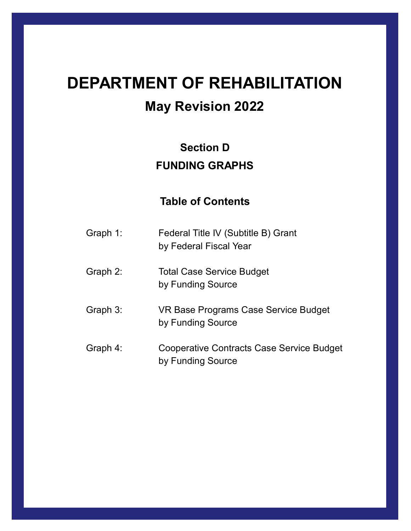# **DEPARTMENT OF REHABILITATION**

# **May Revision 2022**

# **Section D FUNDING GRAPHS**

| Graph 1: | Federal Title IV (Subtitle B) Grant<br>by Federal Fiscal Year         |
|----------|-----------------------------------------------------------------------|
| Graph 2: | <b>Total Case Service Budget</b><br>by Funding Source                 |
| Graph 3: | VR Base Programs Case Service Budget<br>by Funding Source             |
| Graph 4: | <b>Cooperative Contracts Case Service Budget</b><br>by Funding Source |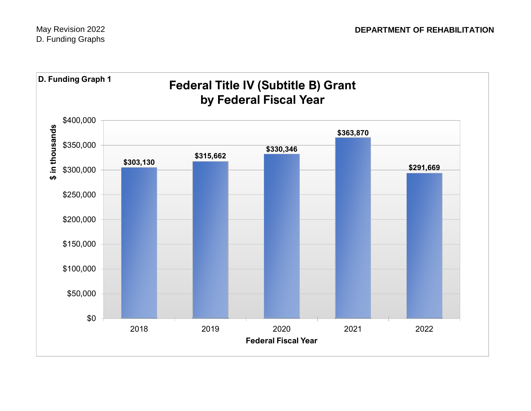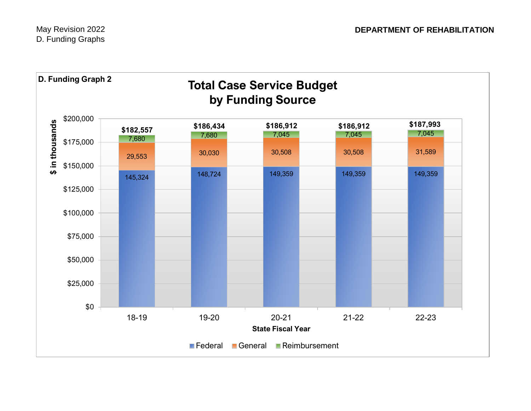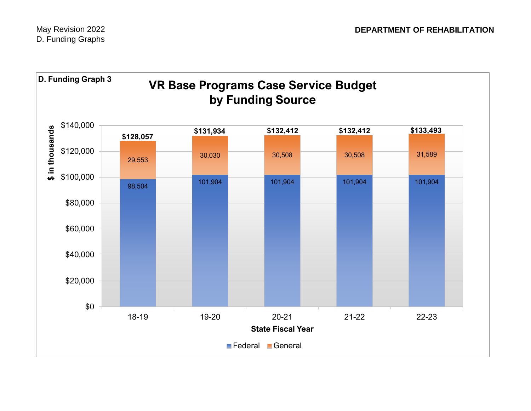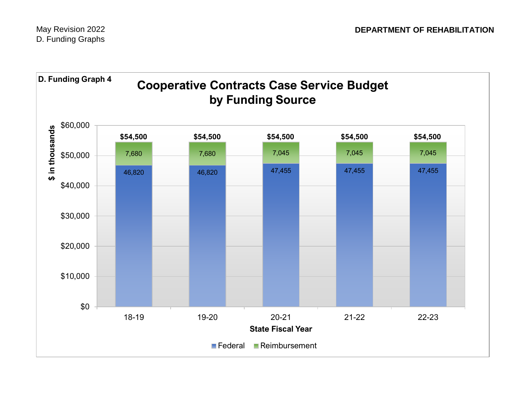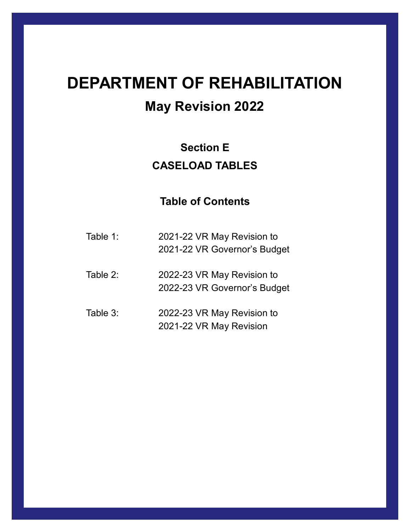# **DEPARTMENT OF REHABILITATION**

# **May Revision 2022**

## **Section E CASELOAD TABLES**

- Table 1: 2021-22 VR May Revision to 2021-22 VR Governor's Budget
- Table 2: 2022-23 VR May Revision to 2022-23 VR Governor's Budget
- Table 3: 2022-23 VR May Revision to 2021-22 VR May Revision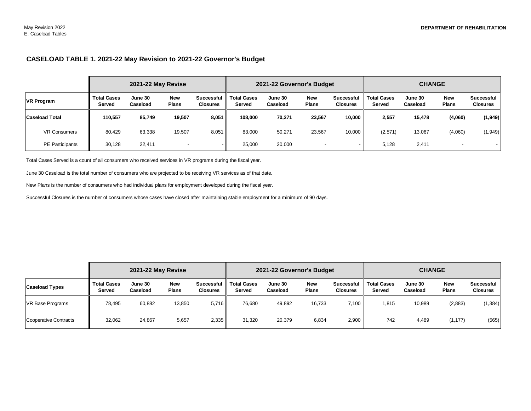#### **CASELOAD TABLE 1. 2021-22 May Revision to 2021-22 Governor's Budget**

|                       |                              | 2021-22 May Revise  |                            |                               |                              | 2021-22 Governor's Budget |                            |                                      |                              | <b>CHANGE</b>       |                            |                               |
|-----------------------|------------------------------|---------------------|----------------------------|-------------------------------|------------------------------|---------------------------|----------------------------|--------------------------------------|------------------------------|---------------------|----------------------------|-------------------------------|
| <b>VR Program</b>     | <b>Total Cases</b><br>Served | June 30<br>Caseload | <b>New</b><br><b>Plans</b> | Successful<br><b>Closures</b> | <b>Total Cases</b><br>Served | June 30<br>Caseload       | <b>New</b><br><b>Plans</b> | <b>Successful</b><br><b>Closures</b> | <b>Total Cases</b><br>Served | June 30<br>Caseload | <b>New</b><br><b>Plans</b> | Successful<br><b>Closures</b> |
| <b>Caseload Total</b> | 110.557                      | 85,749              | 19,507                     | 8,051                         | 108.000                      | 70,271                    | 23,567                     | 10.000                               | 2,557                        | 15.478              | (4,060)                    | (1,949)                       |
| <b>VR Consumers</b>   | 80,429                       | 63,338              | 19,507                     | 8,051                         | 83,000                       | 50,271                    | 23,567                     | 10,000                               | (2,571)                      | 13,067              | (4,060)                    | (1,949)                       |
| PE Participants       | 30,128                       | 22,411              |                            |                               | 25,000                       | 20,000                    |                            |                                      | 5,128                        | 2,411               |                            |                               |

Total Cases Served is a count of all consumers who received services in VR programs during the fiscal year.

June 30 Caseload is the total number of consumers who are projected to be receiving VR services as of that date.

New Plans is the number of consumers who had individual plans for employment developed during the fiscal year.

Successful Closures is the number of consumers whose cases have closed after maintaining stable employment for a minimum of 90 days.

|                       |                                     | 2021-22 May Revise  |                            |                               |                              | 2021-22 Governor's Budget |                            |                               |                              | <b>CHANGE</b>       |                            |                               |
|-----------------------|-------------------------------------|---------------------|----------------------------|-------------------------------|------------------------------|---------------------------|----------------------------|-------------------------------|------------------------------|---------------------|----------------------------|-------------------------------|
| <b>Caseload Types</b> | <b>Total Cases</b><br><b>Served</b> | June 30<br>Caseload | <b>New</b><br><b>Plans</b> | Successful<br><b>Closures</b> | <b>Total Cases</b><br>Served | June 30<br>Caseload       | <b>New</b><br><b>Plans</b> | Successful<br><b>Closures</b> | <b>Total Cases</b><br>Served | June 30<br>Caseload | <b>New</b><br><b>Plans</b> | Successful<br><b>Closures</b> |
| VR Base Programs      | 78.495                              | 60,882              | 13,850                     | 5,716                         | 76,680                       | 49,892                    | 16,733                     | 7,100                         | 1,815                        | 10,989              | (2,883)                    | (1, 384)                      |
| Cooperative Contracts | 32,062                              | 24,867              | 5,657                      | 2,335                         | 31,320                       | 20,379                    | 6,834                      | 2,900                         | 742                          | 4,489               | (1, 177)                   | (565)                         |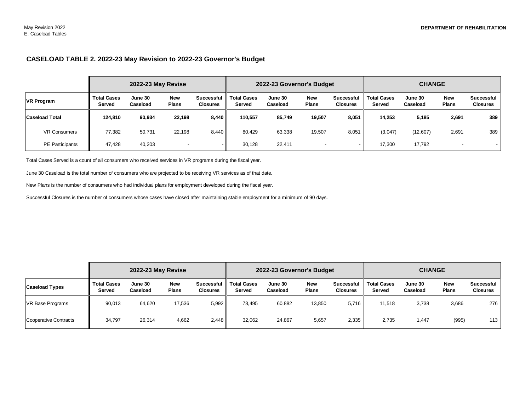#### **CASELOAD TABLE 2. 2022-23 May Revision to 2022-23 Governor's Budget**

|                       |                                     | 2022-23 May Revise  |                            |                                      |                              | 2022-23 Governor's Budget |                            |                                      |                              | <b>CHANGE</b>       |                     |                               |
|-----------------------|-------------------------------------|---------------------|----------------------------|--------------------------------------|------------------------------|---------------------------|----------------------------|--------------------------------------|------------------------------|---------------------|---------------------|-------------------------------|
| <b>VR Program</b>     | <b>Total Cases</b><br><b>Served</b> | June 30<br>Caseload | <b>New</b><br><b>Plans</b> | <b>Successful</b><br><b>Closures</b> | <b>Total Cases</b><br>Served | June 30<br>Caseload       | <b>New</b><br><b>Plans</b> | <b>Successful</b><br><b>Closures</b> | <b>Total Cases</b><br>Served | June 30<br>Caseload | New<br><b>Plans</b> | Successful<br><b>Closures</b> |
| <b>Caseload Total</b> | 124.810                             | 90,934              | 22.198                     | 8,440                                | 110,557                      | 85,749                    | 19,507                     | 8,051                                | 14,253                       | 5,185               | 2,691               | 389                           |
| <b>VR Consumers</b>   | 77,382                              | 50,731              | 22,198                     | 8,440                                | 80,429                       | 63,338                    | 19,507                     | 8,051                                | (3,047)                      | (12,607)            | 2,691               | 389                           |
| PE Participants       | 47.428                              | 40,203              |                            |                                      | 30,128                       | 22,411                    | $\overline{\phantom{0}}$   |                                      | 17,300                       | 17,792              |                     |                               |

Total Cases Served is a count of all consumers who received services in VR programs during the fiscal year.

June 30 Caseload is the total number of consumers who are projected to be receiving VR services as of that date.

New Plans is the number of consumers who had individual plans for employment developed during the fiscal year.

Successful Closures is the number of consumers whose cases have closed after maintaining stable employment for a minimum of 90 days.

|                       | 2022-23 May Revise                  |                     |                            |                               | 2022-23 Governor's Budget           |                     |                            |                               | <b>CHANGE</b>                |                     |                            |                                      |
|-----------------------|-------------------------------------|---------------------|----------------------------|-------------------------------|-------------------------------------|---------------------|----------------------------|-------------------------------|------------------------------|---------------------|----------------------------|--------------------------------------|
| <b>Caseload Types</b> | <b>Total Cases</b><br><b>Served</b> | June 30<br>Caseload | <b>New</b><br><b>Plans</b> | Successful<br><b>Closures</b> | <b>Total Cases</b><br><b>Served</b> | June 30<br>Caseload | <b>New</b><br><b>Plans</b> | Successful<br><b>Closures</b> | <b>Total Cases</b><br>Served | June 30<br>Caseload | <b>New</b><br><b>Plans</b> | <b>Successful</b><br><b>Closures</b> |
| VR Base Programs      | 90,013                              | 64,620              | 17,536                     | 5,992                         | 78,495                              | 60,882              | 13,850                     | 5.716                         | 11,518                       | 3,738               | 3,686                      | 276                                  |
| Cooperative Contracts | 34,797                              | 26,314              | 4,662                      | 2,448                         | 32,062                              | 24,867              | 5,657                      | 2,335                         | 2,735                        | 1,447               | (995)                      | 113                                  |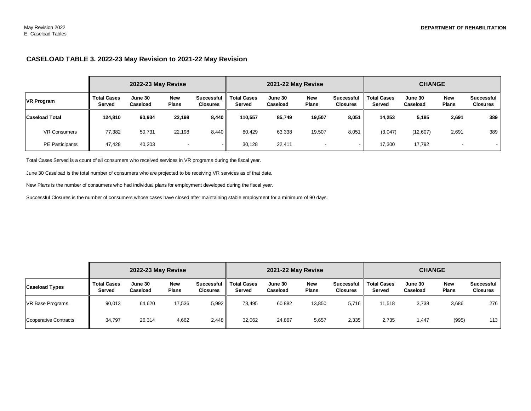#### **CASELOAD TABLE 3. 2022-23 May Revision to 2021-22 May Revision**

|                        | 2022-23 May Revise           |                     |                            |                                      |                              | 2021-22 May Revise  |                            |                                      | <b>CHANGE</b>                |                     |                            |                                      |
|------------------------|------------------------------|---------------------|----------------------------|--------------------------------------|------------------------------|---------------------|----------------------------|--------------------------------------|------------------------------|---------------------|----------------------------|--------------------------------------|
| <b>VR Program</b>      | <b>Total Cases</b><br>Served | June 30<br>Caseload | <b>New</b><br><b>Plans</b> | <b>Successful</b><br><b>Closures</b> | <b>Total Cases</b><br>Served | June 30<br>Caseload | <b>New</b><br><b>Plans</b> | <b>Successful</b><br><b>Closures</b> | <b>Total Cases</b><br>Served | June 30<br>Caseload | <b>New</b><br><b>Plans</b> | <b>Successful</b><br><b>Closures</b> |
| <b>Caseload Total</b>  | 124.810                      | 90,934              | 22,198                     | 8,440                                | 110.557                      | 85,749              | 19,507                     | 8,051                                | 14,253                       | 5,185               | 2,691                      | 389                                  |
| <b>VR Consumers</b>    | 77,382                       | 50,731              | 22,198                     | 8,440                                | 80,429                       | 63,338              | 19,507                     | 8,051                                | (3,047)                      | (12,607)            | 2,691                      | 389                                  |
| <b>PE Participants</b> | 47.428                       | 40,203              |                            |                                      | 30,128                       | 22,411              | $\,$                       | $\overline{\phantom{a}}$             | 17,300                       | 17,792              |                            |                                      |

Total Cases Served is a count of all consumers who received services in VR programs during the fiscal year.

June 30 Caseload is the total number of consumers who are projected to be receiving VR services as of that date.

New Plans is the number of consumers who had individual plans for employment developed during the fiscal year.

Successful Closures is the number of consumers whose cases have closed after maintaining stable employment for a minimum of 90 days.

|                       | 2022-23 May Revise                  |                     |                            |                               | 2021-22 May Revise                  |                     |                            |                                      | <b>CHANGE</b>                |                     |                            |                                      |
|-----------------------|-------------------------------------|---------------------|----------------------------|-------------------------------|-------------------------------------|---------------------|----------------------------|--------------------------------------|------------------------------|---------------------|----------------------------|--------------------------------------|
| <b>Caseload Types</b> | <b>Total Cases</b><br><b>Served</b> | June 30<br>Caseload | <b>New</b><br><b>Plans</b> | Successful<br><b>Closures</b> | <b>Total Cases</b><br><b>Served</b> | June 30<br>Caseload | <b>New</b><br><b>Plans</b> | <b>Successful</b><br><b>Closures</b> | <b>Total Cases</b><br>Served | June 30<br>Caseload | <b>New</b><br><b>Plans</b> | <b>Successful</b><br><b>Closures</b> |
| VR Base Programs      | 90.013                              | 64,620              | 17,536                     | 5,992                         | 78,495                              | 60,882              | 13,850                     | 5.716                                | 11.518                       | 3,738               | 3,686                      | 276 l                                |
| Cooperative Contracts | 34,797                              | 26,314              | 4,662                      | 2,448                         | 32,062                              | 24,867              | 5,657                      | 2,335                                | 2,735                        | 1,447               | (995)                      | 113                                  |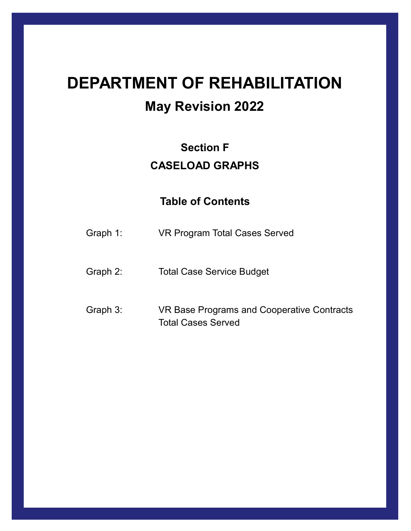# **DEPARTMENT OF REHABILITATION May Revision 2022**

# **Section F CASELOAD GRAPHS**

- Graph 1: VR Program Total Cases Served
- Graph 2: Total Case Service Budget
- Graph 3: VR Base Programs and Cooperative Contracts Total Cases Served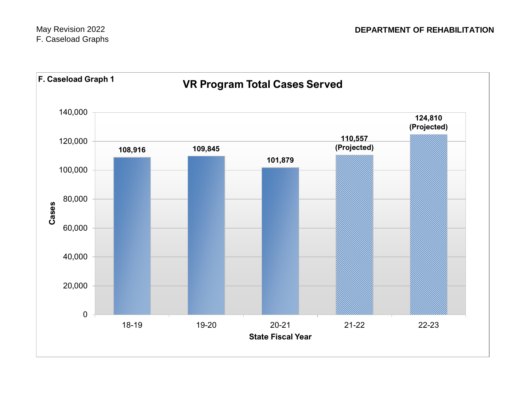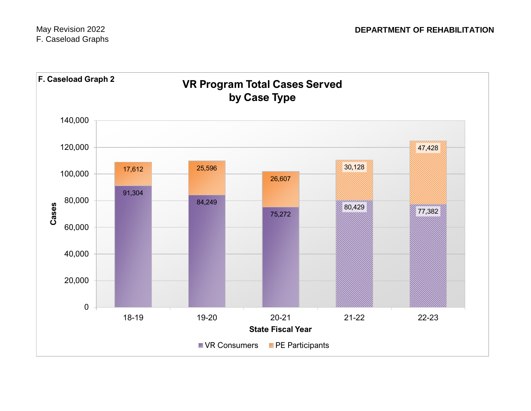